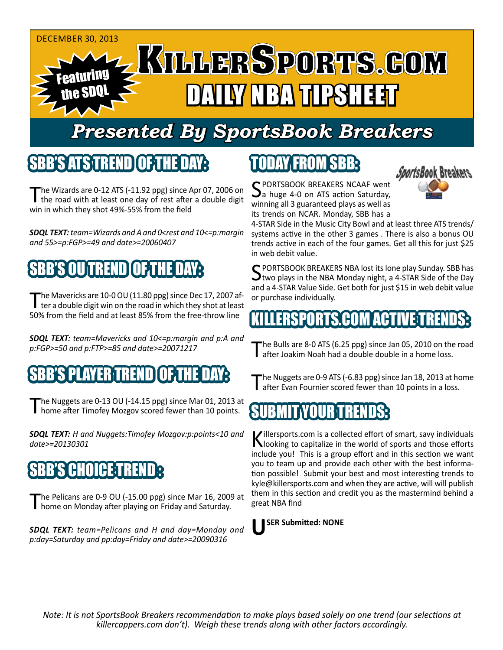

## *Presented By SportsBook Breakers*

#### SBB'S'ATSTREN

The Wizards are  $0-12$  ATS ( $-11.92$  ppg) since Apr 07, 2006 on I the road with at least one day of rest after a double digit win in which they shot 49%-55% from the field

*SDQL TEXT: team=Wizards and A and 0<rest and 10<=p:margin and 55>=p:FGP>=49 and date>=20060407*

### SBB'S OU TREND OF THE DAY:

The Mavericks are 10-0 OU (11.80 ppg) since Dec 17, 2007 af-<br>ter a double digit win on the road in which they shot at least 50% from the field and at least 85% from the free-throw line

*SDQL TEXT: team=Mavericks and 10<=p:margin and p:A and p:FGP>=50 and p:FTP>=85 and date>=20071217*

#### SBB'S PLAYER TREND OF THE DAY:

The Nuggets are 0-13 OU (-14.15 ppg) since Mar 01, 2013 at home after Timofey Mozgov scored fewer than 10 points.

*SDQL TEXT: H and Nuggets:Timofey Mozgov:p:points<10 and date>=20130301*

#### **CHOICE TRE**

The Pelicans are 0-9 OU (-15.00 ppg) since Mar 16, 2009 at home on Monday after playing on Friday and Saturday.

*SDQL TEXT: team=Pelicans and H and day=Monday and p:day=Saturday and pp:day=Friday and date>=20090316*

## TODAY FROM SBB:



SPORTSBOOK BREAKERS NCAAF went<br>
a huge 4-0 on ATS action Saturday, winning all 3 guaranteed plays as well as its trends on NCAR. Monday, SBB has a

4-STAR Side in the Music City Bowl and at least three ATS trends/ systems active in the other 3 games . There is also a bonus OU trends active in each of the four games. Get all this for just \$25 in web debit value.

C PORTSBOOK BREAKERS NBA lost its lone play Sunday. SBB has  $\bigcup$ two plays in the NBA Monday night, a 4-STAR Side of the Day and a 4-STAR Value Side. Get both for just \$15 in web debit value or purchase individually.

#### KAN MARTIVE T

The Bulls are 8-0 ATS (6.25 ppg) since Jan 05, 2010 on the road after Joakim Noah had a double double in a home loss.

The Nuggets are 0-9 ATS (-6.83 ppg) since Jan 18, 2013 at home after Evan Fournier scored fewer than 10 points in a loss.



Killersports.com is a collected effort of smart, savy individuals<br>Nooking to capitalize in the world of sports and those efforts include you! This is a group effort and in this section we want you to team up and provide each other with the best information possible! Submit your best and most interesting trends to kyle@killersports.com and when they are active, will will publish them in this section and credit you as the mastermind behind a great NBA find



*Note: It is not SportsBook Breakers recommendation to make plays based solely on one trend (our selections at killercappers.com don't). Weigh these trends along with other factors accordingly.*